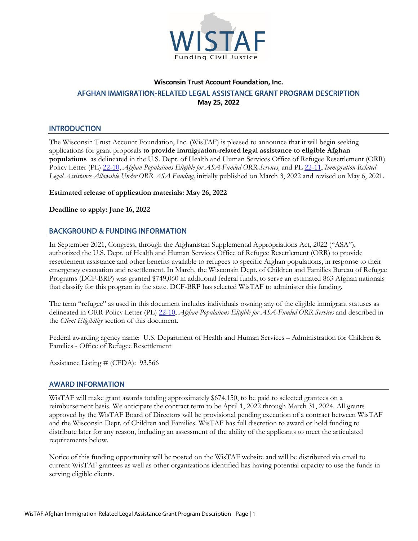

# **Wisconsin Trust Account Foundation, Inc.** AFGHAN IMMIGRATION-RELATED LEGAL ASSISTANCE GRANT PROGRAM DESCRIPTION **May 25, 2022**

## **INTRODUCTION**

The Wisconsin Trust Account Foundation, Inc. (WisTAF) is pleased to announce that it will begin seeking applications for grant proposals **to provide immigration-related legal assistance to eligible Afghan populations** as delineated in the U.S. Dept. of Health and Human Services Office of Refugee Resettlement (ORR) Policy Letter (PL[\) 22-10,](https://www.acf.hhs.gov/sites/default/files/documents/orr/ORR-PL-22-10-ASA-eligibility_0.pdf) *Afghan Populations Eligible for ASA-Funded ORR Services,* and PL [22-11,](https://www.acf.hhs.gov/sites/default/files/documents/orr/Revised-PL-22-11-ASA-Legal-Assistance-RPU.pdf) *Immigration-Related Legal Assistance Allowable Under ORR ASA Funding,* initially published on March 3, 2022 and revised on May 6, 2021.

**Estimated release of application materials: May 26, 2022**

**Deadline to apply: June 16, 2022**

## BACKGROUND & FUNDING INFORMATION

In September 2021, Congress, through the Afghanistan Supplemental Appropriations Act, 2022 ("ASA"), authorized the U.S. Dept. of Health and Human Services Office of Refugee Resettlement (ORR) to provide resettlement assistance and other benefits available to refugees to specific Afghan populations, in response to their emergency evacuation and resettlement. In March, the Wisconsin Dept. of Children and Families Bureau of Refugee Programs (DCF-BRP) was granted \$749,060 in additional federal funds, to serve an estimated 863 Afghan nationals that classify for this program in the state. DCF-BRP has selected WisTAF to administer this funding.

The term "refugee" as used in this document includes individuals owning any of the eligible immigrant statuses as delineated in ORR Policy Letter (PL) [22-10,](https://www.acf.hhs.gov/sites/default/files/documents/orr/ORR-PL-22-10-ASA-eligibility_0.pdf) *Afghan Populations Eligible for ASA-Funded ORR Services* and described in the *Client Eligibility* section of this document.

Federal awarding agency name: U.S. Department of Health and Human Services – Administration for Children & Families - Office of Refugee Resettlement

Assistance Listing # (CFDA): 93.566

### AWARD INFORMATION

WisTAF will make grant awards totaling approximately \$674,150, to be paid to selected grantees on a reimbursement basis. We anticipate the contract term to be April 1, 2022 through March 31, 2024. All grants approved by the WisTAF Board of Directors will be provisional pending execution of a contract between WisTAF and the Wisconsin Dept. of Children and Families. WisTAF has full discretion to award or hold funding to distribute later for any reason, including an assessment of the ability of the applicants to meet the articulated requirements below.

Notice of this funding opportunity will be posted on the WisTAF website and will be distributed via email to current WisTAF grantees as well as other organizations identified has having potential capacity to use the funds in serving eligible clients.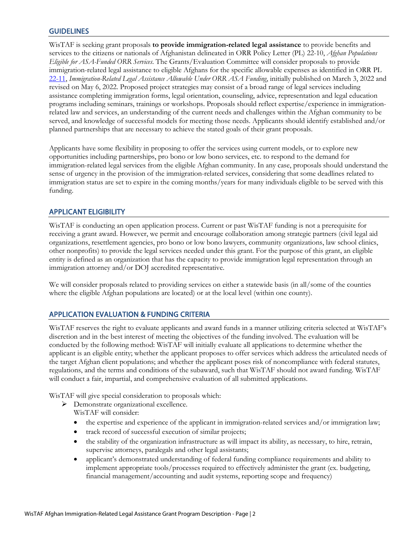## **GUIDELINES**

WisTAF is seeking grant proposals **to provide immigration-related legal assistance** to provide benefits and services to the citizens or nationals of Afghanistan delineated in ORR Policy Letter (PL) 22-10, *Afghan Populations Eligible for ASA-Funded ORR Services*. The Grants/Evaluation Committee will consider proposals to provide immigration-related legal assistance to eligible Afghans for the specific allowable expenses as identified in ORR PL [22-11,](https://www.acf.hhs.gov/sites/default/files/documents/orr/Revised-PL-22-11-ASA-Legal-Assistance-RPU.pdf) *Immigration-Related Legal Assistance Allowable Under ORR ASA Funding*, initially published on March 3, 2022 and revised on May 6, 2022. Proposed project strategies may consist of a broad range of legal services including assistance completing immigration forms, legal orientation, counseling, advice, representation and legal education programs including seminars, trainings or workshops. Proposals should reflect expertise/experience in immigrationrelated law and services, an understanding of the current needs and challenges within the Afghan community to be served, and knowledge of successful models for meeting those needs. Applicants should identify established and/or planned partnerships that are necessary to achieve the stated goals of their grant proposals.

Applicants have some flexibility in proposing to offer the services using current models, or to explore new opportunities including partnerships, pro bono or low bono services, etc. to respond to the demand for immigration-related legal services from the eligible Afghan community. In any case, proposals should understand the sense of urgency in the provision of the immigration-related services, considering that some deadlines related to immigration status are set to expire in the coming months/years for many individuals eligible to be served with this funding.

## APPLICANT ELIGIBILITY

WisTAF is conducting an open application process. Current or past WisTAF funding is not a prerequisite for receiving a grant award. However, we permit and encourage collaboration among strategic partners (civil legal aid organizations, resettlement agencies, pro bono or low bono lawyers, community organizations, law school clinics, other nonprofits) to provide the legal services needed under this grant. For the purpose of this grant, an eligible entity is defined as an organization that has the capacity to provide immigration legal representation through an immigration attorney and/or DOJ accredited representative.

We will consider proposals related to providing services on either a statewide basis (in all/some of the counties where the eligible Afghan populations are located) or at the local level (within one county).

### APPLICATION EVALUATION & FUNDING CRITERIA

WisTAF reserves the right to evaluate applicants and award funds in a manner utilizing criteria selected at WisTAF's discretion and in the best interest of meeting the objectives of the funding involved. The evaluation will be conducted by the following method: WisTAF will initially evaluate all applications to determine whether the applicant is an eligible entity; whether the applicant proposes to offer services which address the articulated needs of the target Afghan client populations; and whether the applicant poses risk of noncompliance with federal statutes, regulations, and the terms and conditions of the subaward, such that WisTAF should not award funding. WisTAF will conduct a fair, impartial, and comprehensive evaluation of all submitted applications.

WisTAF will give special consideration to proposals which:

- > Demonstrate organizational excellence.
	- WisTAF will consider:
	- the expertise and experience of the applicant in immigration-related services and/or immigration law;
	- track record of successful execution of similar projects;
	- the stability of the organization infrastructure as will impact its ability, as necessary, to hire, retrain, supervise attorneys, paralegals and other legal assistants;
	- applicant's demonstrated understanding of federal funding compliance requirements and ability to implement appropriate tools/processes required to effectively administer the grant (ex. budgeting, financial management/accounting and audit systems, reporting scope and frequency)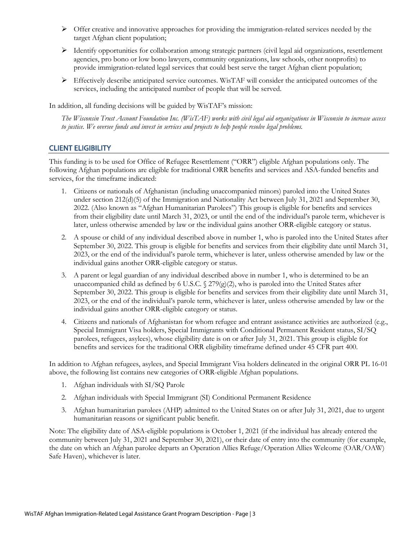- $\triangleright$  Offer creative and innovative approaches for providing the immigration-related services needed by the target Afghan client population;
- $\triangleright$  Identify opportunities for collaboration among strategic partners (civil legal aid organizations, resettlement agencies, pro bono or low bono lawyers, community organizations, law schools, other nonprofits) to provide immigration-related legal services that could best serve the target Afghan client population;
- Effectively describe anticipated service outcomes. WisTAF will consider the anticipated outcomes of the services, including the anticipated number of people that will be served.

In addition, all funding decisions will be guided by WisTAF's mission:

*The Wisconsin Trust Account Foundation Inc. (WisTAF) works with civil legal aid organizations in Wisconsin to increase access to justice. We oversee funds and invest in services and projects to help people resolve legal problems.*

## CLIENT ELIGIBILITY

This funding is to be used for Office of Refugee Resettlement ("ORR") eligible Afghan populations only. The following Afghan populations are eligible for traditional ORR benefits and services and ASA-funded benefits and services, for the timeframe indicated:

- 1. Citizens or nationals of Afghanistan (including unaccompanied minors) paroled into the United States under section 212(d)(5) of the Immigration and Nationality Act between July 31, 2021 and September 30, 2022. (Also known as "Afghan Humanitarian Parolees") This group is eligible for benefits and services from their eligibility date until March 31, 2023, or until the end of the individual's parole term, whichever is later, unless otherwise amended by law or the individual gains another ORR-eligible category or status.
- 2. A spouse or child of any individual described above in number 1, who is paroled into the United States after September 30, 2022. This group is eligible for benefits and services from their eligibility date until March 31, 2023, or the end of the individual's parole term, whichever is later, unless otherwise amended by law or the individual gains another ORR-eligible category or status.
- 3. A parent or legal guardian of any individual described above in number 1, who is determined to be an unaccompanied child as defined by 6 U.S.C.  $\frac{279(g)(2)}{g}$ , who is paroled into the United States after September 30, 2022. This group is eligible for benefits and services from their eligibility date until March 31, 2023, or the end of the individual's parole term, whichever is later, unless otherwise amended by law or the individual gains another ORR-eligible category or status.
- 4. Citizens and nationals of Afghanistan for whom refugee and entrant assistance activities are authorized (e.g., Special Immigrant Visa holders, Special Immigrants with Conditional Permanent Resident status, SI/SQ parolees, refugees, asylees), whose eligibility date is on or after July 31, 2021. This group is eligible for benefits and services for the traditional ORR eligibility timeframe defined under 45 CFR part 400.

In addition to Afghan refugees, asylees, and Special Immigrant Visa holders delineated in the original ORR PL 16-01 above, the following list contains new categories of ORR-eligible Afghan populations.

- 1. Afghan individuals with SI/SQ Parole
- 2. Afghan individuals with Special Immigrant (SI) Conditional Permanent Residence
- 3. Afghan humanitarian parolees (AHP) admitted to the United States on or after July 31, 2021, due to urgent humanitarian reasons or significant public benefit.

Note: The eligibility date of ASA-eligible populations is October 1, 2021 (if the individual has already entered the community between July 31, 2021 and September 30, 2021), or their date of entry into the community (for example, the date on which an Afghan parolee departs an Operation Allies Refuge/Operation Allies Welcome (OAR/OAW) Safe Haven), whichever is later.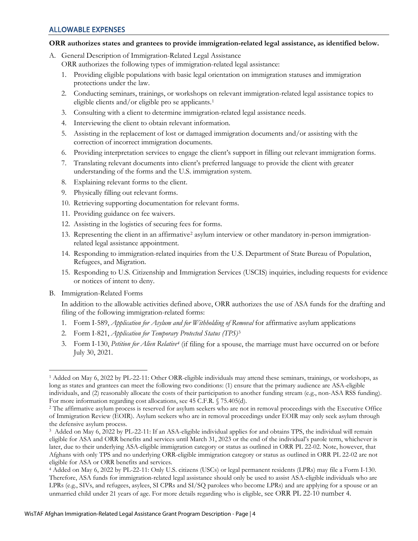#### **ORR authorizes states and grantees to provide immigration-related legal assistance, as identified below.**

- A. General Description of Immigration-Related Legal Assistance
	- ORR authorizes the following types of immigration-related legal assistance:
	- 1. Providing eligible populations with basic legal orientation on immigration statuses and immigration protections under the law.
	- 2. Conducting seminars, trainings, or workshops on relevant immigration-related legal assistance topics to eligible clients and/or eligible pro se applicants.<sup>1</sup>
	- 3. Consulting with a client to determine immigration-related legal assistance needs.
	- 4. Interviewing the client to obtain relevant information.
	- 5. Assisting in the replacement of lost or damaged immigration documents and/or assisting with the correction of incorrect immigration documents.
	- 6. Providing interpretation services to engage the client's support in filling out relevant immigration forms.
	- 7. Translating relevant documents into client's preferred language to provide the client with greater understanding of the forms and the U.S. immigration system.
	- 8. Explaining relevant forms to the client.
	- 9. Physically filling out relevant forms.
	- 10. Retrieving supporting documentation for relevant forms.
	- 11. Providing guidance on fee waivers.
	- 12. Assisting in the logistics of securing fees for forms.
	- 13. Representing the client in an affirmative[2](#page-3-1) asylum interview or other mandatory in-person immigrationrelated legal assistance appointment.
	- 14. Responding to immigration-related inquiries from the U.S. Department of State Bureau of Population, Refugees, and Migration.
	- 15. Responding to U.S. Citizenship and Immigration Services (USCIS) inquiries, including requests for evidence or notices of intent to deny.
- B. Immigration-Related Forms

In addition to the allowable activities defined above, ORR authorizes the use of ASA funds for the drafting and filing of the following immigration-related forms:

- 1. Form I-589, *Application for Asylum and for Withholding of Removal* for affirmative asylum applications
- 2. Form I-821, *Application for Temporary Protected Status (TPS)*[3](#page-3-2)
- 3. Form I-130, *Petition for Alien Relative[4](#page-3-3)* (if filing for a spouse, the marriage must have occurred on or before July 30, 2021.

<span id="page-3-0"></span> $\overline{a}$ <sup>1</sup> Added on May 6, 2022 by PL-22-11: Other ORR-eligible individuals may attend these seminars, trainings, or workshops, as long as states and grantees can meet the following two conditions: (1) ensure that the primary audience are ASA-eligible individuals, and (2) reasonably allocate the costs of their participation to another funding stream (e.g., non-ASA RSS funding). For more information regarding cost allocations, see 45 C.F.R. § 75.405(d).

<span id="page-3-1"></span><sup>&</sup>lt;sup>2</sup> The affirmative asylum process is reserved for asylum seekers who are not in removal proceedings with the Executive Office of Immigration Review (EOIR). Asylum seekers who are in removal proceedings under EOIR may only seek asylum through the defensive asylum process.

<span id="page-3-2"></span><sup>3</sup> Added on May 6, 2022 by PL-22-11: If an ASA-eligible individual applies for and obtains TPS, the individual will remain eligible for ASA and ORR benefits and services until March 31, 2023 or the end of the individual's parole term, whichever is later, due to their underlying ASA-eligible immigration category or status as outlined in ORR PL 22-02. Note, however, that Afghans with only TPS and no underlying ORR-eligible immigration category or status as outlined in ORR PL 22-02 are not eligible for ASA or ORR benefits and services.

<span id="page-3-3"></span><sup>4</sup> Added on May 6, 2022 by PL-22-11: Only U.S. citizens (USCs) or legal permanent residents (LPRs) may file a Form I-130. Therefore, ASA funds for immigration-related legal assistance should only be used to assist ASA-eligible individuals who are LPRs (e.g., SIVs, and refugees, asylees, SI CPRs and SI/SQ parolees who become LPRs) and are applying for a spouse or an unmarried child under 21 years of age. For more details regarding who is eligible, see ORR PL 22-10 number 4.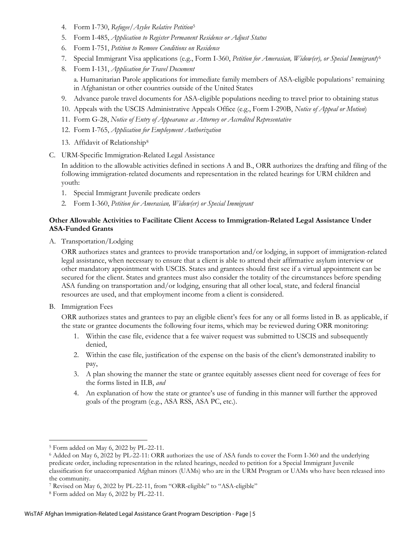- 4. Form I-730, *Refugee/Asylee Relative Petition*[5](#page-4-0)
- 5. Form I-485, *Application to Register Permanent Residence or Adjust Status*
- 6. Form I-751, *Petition to Remove Conditions on Residence*
- 7. Special Immigrant Visa applications (e.g., Form I-360, *Petition for Amerasian, Widow(er), or Special Immigrant*)[6](#page-4-1)
- 8. Form I-131, *Application for Travel Document* a. Humanitarian Parole applications for immediate family members of ASA-eligible populations<sup>[7](#page-4-2)</sup> remaining in Afghanistan or other countries outside of the United States
- 9. Advance parole travel documents for ASA-eligible populations needing to travel prior to obtaining status
- 10. Appeals with the USCIS Administrative Appeals Office (e.g., Form I-290B, *Notice of Appeal or Motion*)
- 11. Form G-28, *Notice of Entry of Appearance as Attorney or Accredited Representative*
- 12. Form I-765, *Application for Employment Authorization*
- 13. Affidavit of Relationship[8](#page-4-3)
- C. URM-Specific Immigration-Related Legal Assistance

In addition to the allowable activities defined in sections A and B., ORR authorizes the drafting and filing of the following immigration-related documents and representation in the related hearings for URM children and youth:

- 1. Special Immigrant Juvenile predicate orders
- 2*.* Form I-360, *Petition for Amerasian, Widow(er) or Special Immigrant*

#### **Other Allowable Activities to Facilitate Client Access to Immigration-Related Legal Assistance Under ASA-Funded Grants**

A. Transportation/Lodging

ORR authorizes states and grantees to provide transportation and/or lodging, in support of immigration-related legal assistance, when necessary to ensure that a client is able to attend their affirmative asylum interview or other mandatory appointment with USCIS. States and grantees should first see if a virtual appointment can be secured for the client. States and grantees must also consider the totality of the circumstances before spending ASA funding on transportation and/or lodging, ensuring that all other local, state, and federal financial resources are used, and that employment income from a client is considered.

B. Immigration Fees

 $\overline{a}$ 

ORR authorizes states and grantees to pay an eligible client's fees for any or all forms listed in B. as applicable, if the state or grantee documents the following four items, which may be reviewed during ORR monitoring:

- 1. Within the case file, evidence that a fee waiver request was submitted to USCIS and subsequently denied,
- 2. Within the case file, justification of the expense on the basis of the client's demonstrated inability to pay,
- 3. A plan showing the manner the state or grantee equitably assesses client need for coverage of fees for the forms listed in II.B, *and*
- 4. An explanation of how the state or grantee's use of funding in this manner will further the approved goals of the program (e.g., ASA RSS, ASA PC, etc.).

<span id="page-4-0"></span><sup>5</sup> Form added on May 6, 2022 by PL-22-11.

<span id="page-4-1"></span><sup>6</sup> Added on May 6, 2022 by PL-22-11: ORR authorizes the use of ASA funds to cover the Form I-360 and the underlying predicate order, including representation in the related hearings, needed to petition for a Special Immigrant Juvenile classification for unaccompanied Afghan minors (UAMs) who are in the URM Program or UAMs who have been released into the community.

<span id="page-4-2"></span><sup>7</sup> Revised on May 6, 2022 by PL-22-11, from "ORR-eligible" to "ASA-eligible" 8 Form added on May 6, 2022 by PL-22-11.

<span id="page-4-3"></span>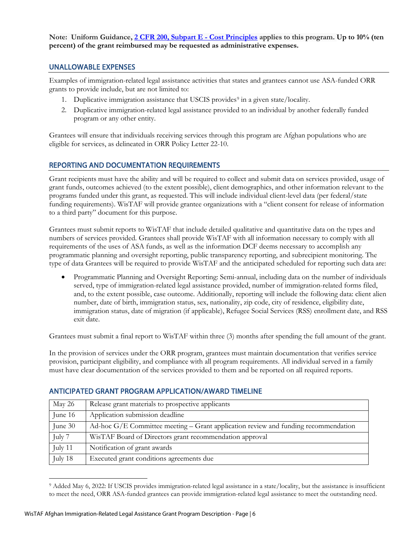**Note: Uniform Guidance, [2 CFR 200, Subpart E - Cost Principles](https://www.ecfr.gov/current/title-2/subtitle-A/chapter-II/part-200/subpart-E) applies to this program. Up to 10% (ten percent) of the grant reimbursed may be requested as administrative expenses.**

## UNALLOWABLE EXPENSES

Examples of immigration-related legal assistance activities that states and grantees cannot use ASA-funded ORR grants to provide include, but are not limited to:

- 1. Duplicative immigration assistance that USCIS provides<sup>[9](#page-5-0)</sup> in a given state/locality.
- 2. Duplicative immigration-related legal assistance provided to an individual by another federally funded program or any other entity.

Grantees will ensure that individuals receiving services through this program are Afghan populations who are eligible for services, as delineated in ORR Policy Letter 22-10.

# REPORTING AND DOCUMENTATION REQUIREMENTS

Grant recipients must have the ability and will be required to collect and submit data on services provided, usage of grant funds, outcomes achieved (to the extent possible), client demographics, and other information relevant to the programs funded under this grant, as requested. This will include individual client-level data (per federal/state funding requirements). WisTAF will provide grantee organizations with a "client consent for release of information to a third party" document for this purpose.

Grantees must submit reports to WisTAF that include detailed qualitative and quantitative data on the types and numbers of services provided. Grantees shall provide WisTAF with all information necessary to comply with all requirements of the uses of ASA funds, as well as the information DCF deems necessary to accomplish any programmatic planning and oversight reporting, public transparency reporting, and subrecipient monitoring. The type of data Grantees will be required to provide WisTAF and the anticipated scheduled for reporting such data are:

• Programmatic Planning and Oversight Reporting: Semi-annual, including data on the number of individuals served, type of immigration-related legal assistance provided, number of immigration-related forms filed, and, to the extent possible, case outcome. Additionally, reporting will include the following data: client alien number, date of birth, immigration status, sex, nationality, zip code, city of residence, eligibility date, immigration status, date of migration (if applicable), Refugee Social Services (RSS) enrollment date, and RSS exit date.

Grantees must submit a final report to WisTAF within three (3) months after spending the full amount of the grant.

In the provision of services under the ORR program, grantees must maintain documentation that verifies service provision, participant eligibility, and compliance with all program requirements. All individual served in a family must have clear documentation of the services provided to them and be reported on all required reports.

| May 26  | Release grant materials to prospective applicants                                    |
|---------|--------------------------------------------------------------------------------------|
| June 16 | Application submission deadline                                                      |
| June 30 | Ad-hoc $G/E$ Committee meeting – Grant application review and funding recommendation |
| July 7  | WisTAF Board of Directors grant recommendation approval                              |
| July 11 | Notification of grant awards                                                         |
| July 18 | Executed grant conditions agreements due                                             |

### ANTICIPATED GRANT PROGRAM APPLICATION/AWARD TIMELINE

<span id="page-5-0"></span> $\overline{a}$ <sup>9</sup> Added May 6, 2022: If USCIS provides immigration-related legal assistance in a state/locality, but the assistance is insufficient to meet the need, ORR ASA-funded grantees can provide immigration-related legal assistance to meet the outstanding need.